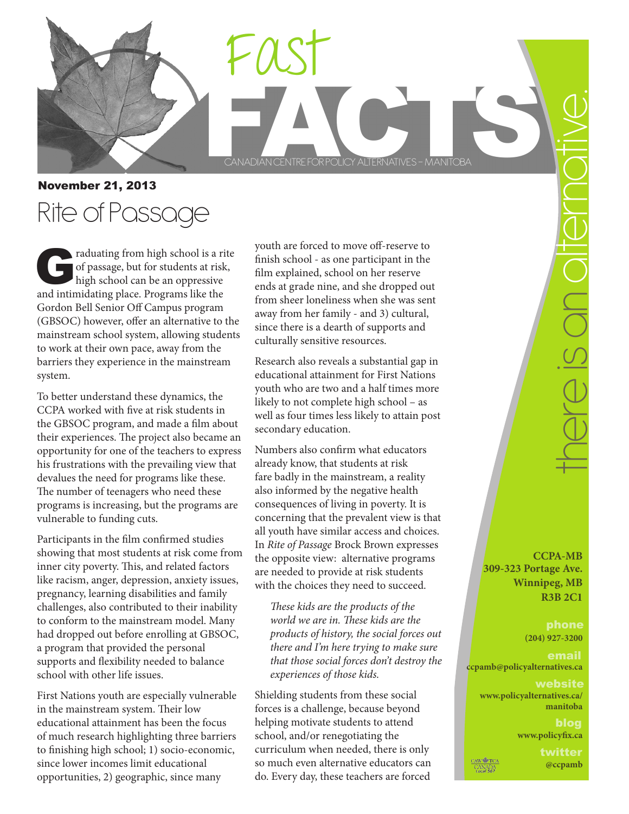



November 21, 2013 Rite of Passage

raduating from high school is a rite of passage, but for students at risk, high school can be an oppressive and intimidating place. Programs like the Gordon Bell Senior Off Campus program (GBSOC) however, offer an alternative to the mainstream school system, allowing students to work at their own pace, away from the barriers they experience in the mainstream system.

To better understand these dynamics, the CCPA worked with five at risk students in the GBSOC program, and made a film about their experiences. The project also became an opportunity for one of the teachers to express his frustrations with the prevailing view that devalues the need for programs like these. The number of teenagers who need these programs is increasing, but the programs are vulnerable to funding cuts.

Participants in the film confirmed studies showing that most students at risk come from inner city poverty. This, and related factors like racism, anger, depression, anxiety issues, pregnancy, learning disabilities and family challenges, also contributed to their inability to conform to the mainstream model. Many had dropped out before enrolling at GBSOC, a program that provided the personal supports and flexibility needed to balance school with other life issues.

First Nations youth are especially vulnerable in the mainstream system. Their low educational attainment has been the focus of much research highlighting three barriers to finishing high school; 1) socio-economic, since lower incomes limit educational opportunities, 2) geographic, since many

youth are forced to move off-reserve to finish school - as one participant in the film explained, school on her reserve ends at grade nine, and she dropped out from sheer loneliness when she was sent away from her family - and 3) cultural, since there is a dearth of supports and culturally sensitive resources.

Research also reveals a substantial gap in educational attainment for First Nations youth who are two and a half times more likely to not complete high school – as well as four times less likely to attain post secondary education.

Numbers also confirm what educators already know, that students at risk fare badly in the mainstream, a reality also informed by the negative health consequences of living in poverty. It is concerning that the prevalent view is that all youth have similar access and choices. In *Rite of Passage* Brock Brown expresses the opposite view: alternative programs are needed to provide at risk students with the choices they need to succeed.

*These kids are the products of the world we are in. These kids are the products of history, the social forces out there and I'm here trying to make sure that those social forces don't destroy the experiences of those kids.* 

Shielding students from these social forces is a challenge, because beyond helping motivate students to attend school, and/or renegotiating the curriculum when needed, there is only so much even alternative educators can do. Every day, these teachers are forced

**CCPA-MB 309-323 Portage Ave. Winnipeg, MB R3B 2C1**

**(204) 927-3200**

## **ccpamb@policyalternatives.ca**

## website **www.policyalternatives.ca/ manitoba**

blog **www.policyfix.ca**

**AW FICA** CANADA<br>Local 567

twitter **@ccpamb**